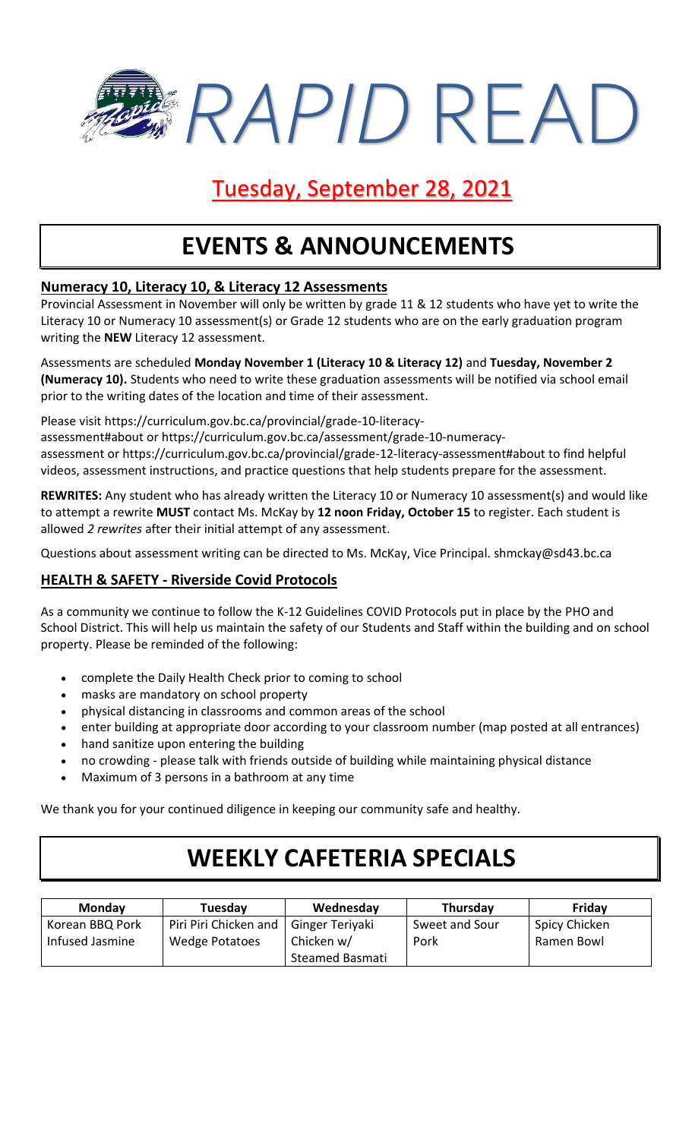*RAPID* READ

## Tuesday, September 28, 2021

## **EVENTS & ANNOUNCEMENTS**

### **Numeracy 10, Literacy 10, & Literacy 12 Assessments**

Provincial Assessment in November will only be written by grade 11 & 12 students who have yet to write the Literacy 10 or Numeracy 10 assessment(s) or Grade 12 students who are on the early graduation program writing the **NEW** Literacy 12 assessment.

Assessments are scheduled **Monday November 1 (Literacy 10 & Literacy 12)** and **Tuesday, November 2 (Numeracy 10).** Students who need to write these graduation assessments will be notified via school email prior to the writing dates of the location and time of their assessment.

Please visit https://curriculum.gov.bc.ca/provincial/grade-10-literacy-

assessment#about or https://curriculum.gov.bc.ca/assessment/grade-10-numeracyassessment or https://curriculum.gov.bc.ca/provincial/grade-12-literacy-assessment#about to find helpful videos, assessment instructions, and practice questions that help students prepare for the assessment.

**REWRITES:** Any student who has already written the Literacy 10 or Numeracy 10 assessment(s) and would like to attempt a rewrite **MUST** contact Ms. McKay by **12 noon Friday, October 15** to register. Each student is allowed *2 rewrites* after their initial attempt of any assessment.

Questions about assessment writing can be directed to Ms. McKay, Vice Principal. shmckay@sd43.bc.ca

### **HEALTH & SAFETY - Riverside Covid Protocols**

As a community we continue to follow the K-12 Guidelines COVID Protocols put in place by the PHO and School District. This will help us maintain the safety of our Students and Staff within the building and on school property. Please be reminded of the following:

- complete the Daily Health Check prior to coming to school
- masks are mandatory on school property
- physical distancing in classrooms and common areas of the school
- enter building at appropriate door according to your classroom number (map posted at all entrances)
- hand sanitize upon entering the building
- no crowding please talk with friends outside of building while maintaining physical distance
- Maximum of 3 persons in a bathroom at any time

We thank you for your continued diligence in keeping our community safe and healthy.

# **WEEKLY CAFETERIA SPECIALS**

| <b>Monday</b>   | Tuesday               | Wednesday       | Thursday       | Friday        |
|-----------------|-----------------------|-----------------|----------------|---------------|
| Korean BBQ Pork | Piri Piri Chicken and | Ginger Teriyaki | Sweet and Sour | Spicy Chicken |
| Infused Jasmine | Wedge Potatoes        | Chicken w/      | Pork           | Ramen Bowl    |
|                 |                       | Steamed Basmati |                |               |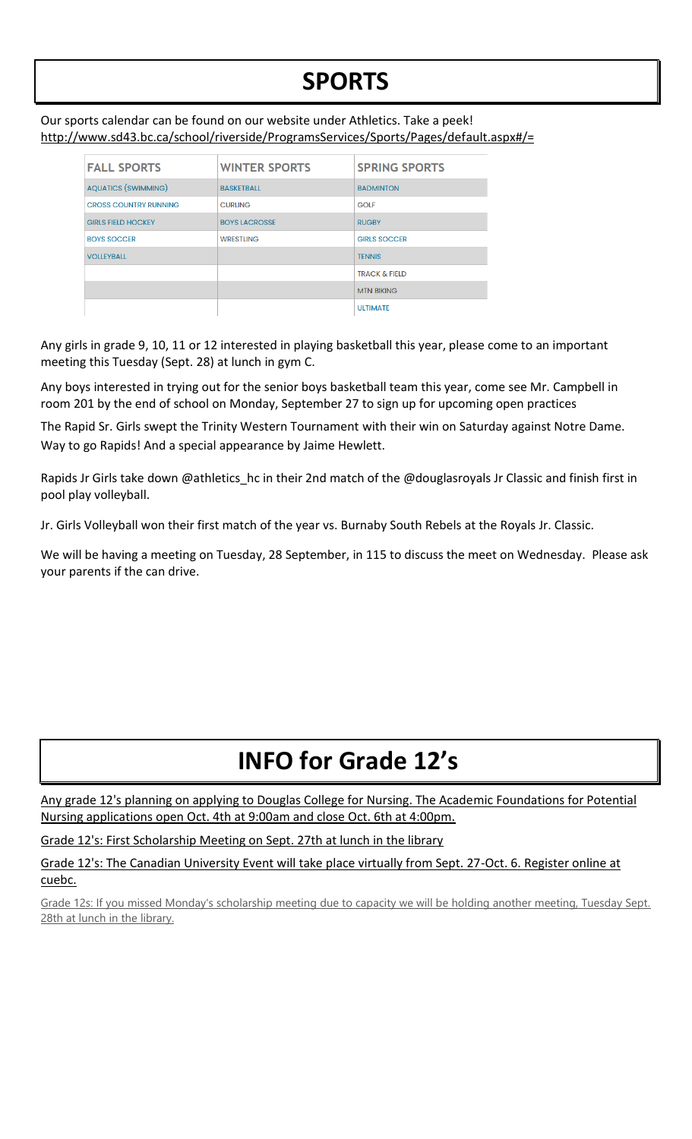# **SPORTS**

#### Our sports calendar can be found on our website under Athletics. Take a peek! http://www.sd43.bc.ca/school/riverside/ProgramsServices/Sports/Pages/default.aspx#/=

| <b>FALL SPORTS</b>           | <b>WINTER SPORTS</b> | <b>SPRING SPORTS</b>     |
|------------------------------|----------------------|--------------------------|
| <b>AQUATICS (SWIMMING)</b>   | <b>BASKETBALL</b>    | <b>BADMINTON</b>         |
| <b>CROSS COUNTRY RUNNING</b> | <b>CURLING</b>       | <b>GOLF</b>              |
| <b>GIRLS FIELD HOCKEY</b>    | <b>BOYS LACROSSE</b> | <b>RUGBY</b>             |
| <b>BOYS SOCCER</b>           | <b>WRESTLING</b>     | <b>GIRLS SOCCER</b>      |
| <b>VOLLEYBALL</b>            |                      | <b>TENNIS</b>            |
|                              |                      | <b>TRACK &amp; FIELD</b> |
|                              |                      | <b>MTN BIKING</b>        |
|                              |                      | <b>ULTIMATE</b>          |

Any girls in grade 9, 10, 11 or 12 interested in playing basketball this year, please come to an important meeting this Tuesday (Sept. 28) at lunch in gym C.

Any boys interested in trying out for the senior boys basketball team this year, come see Mr. Campbell in room 201 by the end of school on Monday, September 27 to sign up for upcoming open practices

The Rapid Sr. Girls swept the Trinity Western Tournament with their win on Saturday against Notre Dame. Way to go Rapids! And a special appearance by Jaime Hewlett.

Rapids Jr Girls take down @athletics\_hc in their 2nd match of the @douglasroyals Jr Classic and finish first in pool play volleyball.

Jr. Girls Volleyball won their first match of the year vs. Burnaby South Rebels at the Royals Jr. Classic.

We will be having a meeting on Tuesday, 28 September, in 115 to discuss the meet on Wednesday. Please ask your parents if the can drive.

# **INFO for Grade 12's**

Any grade 12's planning on applying to Douglas College for Nursing. The Academic Foundations for Potential Nursing applications open Oct. 4th at 9:00am and close Oct. 6th at 4:00pm.

Grade 12's: First Scholarship Meeting on Sept. 27th at lunch in the library

Grade 12's: The Canadian University Event will take place virtually from Sept. 27-Oct. 6. Register online at cuebc.

Grade 12s: If you missed Monday's scholarship meeting due to capacity we will be holding another meeting, Tuesday Sept. 28th at lunch in the library.